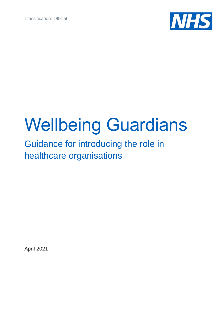Classification: Official



# Wellbeing Guardians

# Guidance for introducing the role in healthcare organisations

April 2021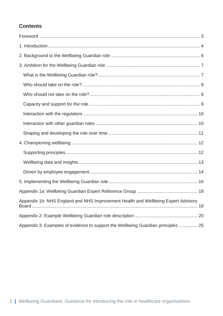#### **Contents**

| Appendix 1b: NHS England and NHS Improvement Health and Wellbeing Expert Advisory |
|-----------------------------------------------------------------------------------|
|                                                                                   |
| Appendix 3: Examples of evidence to support the Wellbeing Guardian principles  25 |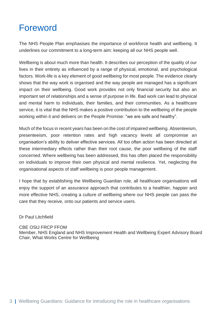### <span id="page-2-0"></span>Foreword

The NHS People Plan emphasises the importance of workforce health and wellbeing. It underlines our commitment to a long-term aim: keeping all our NHS people well.

Wellbeing is about much more than health. It describes our perception of the quality of our lives in their entirety as influenced by a range of physical, emotional, and psychological factors. Work-life is a key element of good wellbeing for most people. The evidence clearly shows that the way work is organised and the way people are managed has a significant impact on their wellbeing. Good work provides not only financial security but also an important set of relationships and a sense of purpose in life. Bad work can lead to physical and mental harm to individuals, their families, and their communities. As a healthcare service, it is vital that the NHS makes a positive contribution to the wellbeing of the people working within it and delivers on the People Promise: "we are safe and healthy".

Much of the focus in recent years has been on the cost of impaired wellbeing. Absenteeism, presenteeism, poor retention rates and high vacancy levels all compromise an organisation's ability to deliver effective services. All too often action has been directed at these intermediary effects rather than their root cause, the poor wellbeing of the staff concerned. Where wellbeing has been addressed, this has often placed the responsibility on individuals to improve their own physical and mental resilience. Yet, neglecting the organisational aspects of staff wellbeing is poor people management.

I hope that by establishing the Wellbeing Guardian role, all healthcare organisations will enjoy the support of an assurance approach that contributes to a healthier, happier and more effective NHS, creating a culture of wellbeing where our NHS people can pass the care that they receive, onto our patients and service users.

#### Dr Paul Litchfield

#### CBE OStJ FRCP FFOM

Member, NHS England and NHS Improvement Health and Wellbeing Expert Advisory Board Chair, What Works Centre for Wellbeing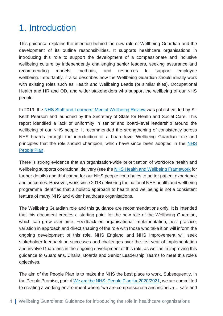### <span id="page-3-0"></span>1. Introduction

This guidance explains the intention behind the new role of Wellbeing Guardian and the development of its outline responsibilities. It supports healthcare organisations in introducing this role to support the development of a compassionate and inclusive wellbeing culture by independently challenging senior leaders, seeking assurance and recommending models, methods, and resources to support employee wellbeing. Importantly, it also describes how the Wellbeing Guardian should ideally work with existing roles such as Health and Wellbeing Leads (or similar titles), Occupational Health and HR and OD, and wider stakeholders who support the wellbeing of our NHS people.

In 2019, the [NHS Staff and Learners' Mental Wellbeing Review](https://www.hee.nhs.uk/our-work/mental-wellbeing-report) was published, led by Sir Keith Pearson and launched by the Secretary of State for Health and Social Care. This report identified a lack of uniformity in senior and board-level leadership around the wellbeing of our NHS people. It recommended the strengthening of consistency across NHS boards through the introduction of a board-level Wellbeing Guardian role and principles that the role should champion, which have since been adopted in the NHS [People Plan.](https://www.england.nhs.uk/ournhspeople/)

There is strong evidence that an organisation-wide prioritisation of workforce health and wellbeing supports operational delivery (see the [NHS Health and Wellbeing Framework](https://www.nhsemployers.org/publications/nhs-health-and-wellbeing-framework-diagnostic-tool) for further details) and that caring for our NHS people contributes to better patient experience and outcomes. However, work since 2018 delivering the national NHS health and wellbeing programme identified that a holistic approach to health and wellbeing is not a consistent feature of many NHS and wider healthcare organisations.

The Wellbeing Guardian role and this guidance are recommendations only. It is intended that this document creates a starting point for the new role of the Wellbeing Guardian, which can grow over time. Feedback on organisational implementation, best practice, variation in approach and direct shaping of the role with those who take it on will inform the ongoing development of this role. NHS England and NHS Improvement will seek stakeholder feedback on successes and challenges over the first year of implementation and involve Guardians in the ongoing development of this role, as well as in improving this guidance to Guardians, Chairs, Boards and Senior Leadership Teams to meet this role's objectives.

The aim of the People Plan is to make the NHS the best place to work. Subsequently, in the People Promise, part of [We are the NHS: People Plan for 2020/2021,](https://www.england.nhs.uk/ournhspeople/) we are committed to creating a working environment where "we are compassionate and inclusive… safe and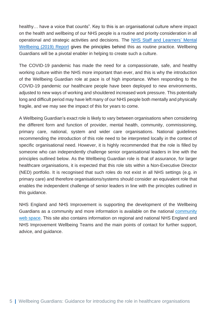healthy… have a voice that counts". Key to this is an organisational culture where impact on the health and wellbeing of our NHS people is a routine and priority consideration in all operational and strategic activities and decisions. The [NHS Staff and Learners'](https://www.hee.nhs.uk/our-work/mental-wellbeing-report) Mental [Wellbeing \(2019\)](https://www.hee.nhs.uk/our-work/mental-wellbeing-report) Report gives the principles behind this as routine practice. Wellbeing Guardians will be a pivotal enabler in helping to create such a culture.

The COVID-19 pandemic has made the need for a compassionate, safe, and healthy working culture within the NHS more important than ever, and this is why the introduction of the Wellbeing Guardian role at pace is of high importance. When responding to the COVID-19 pandemic our healthcare people have been deployed to new environments, adjusted to new ways of working and shouldered increased work pressure. This potentially long and difficult period may have left many of our NHS people both mentally and physically fragile, and we may see the impact of this for years to come.

A Wellbeing Guardian's exact role is likely to vary between organisations when considering the different form and function of provider, mental health, community, commissioning, primary care, national, system and wider care organisations. National guidelines recommending the introduction of this role need to be interpreted locally in the context of specific organisational need. However, it is highly recommended that the role is filled by someone who can independently challenge senior organisational leaders in line with the principles outlined below. As the Wellbeing Guardian role is that of assurance, for larger healthcare organisations, it is expected that this role sits within a Non-Executive Director (NED) portfolio. It is recognised that such roles do not exist in all NHS settings (e.g. in primary care) and therefore organisations/systems should consider an equivalent role that enables the independent challenge of senior leaders in line with the principles outlined in this guidance.

NHS England and NHS Improvement is supporting the development of the Wellbeing Guardians as a community and more information is available on the national [community](https://people.nhs.uk/executivesuite/support-in-difficult-times/wellbeing-guardians/)  [web space.](https://people.nhs.uk/executivesuite/support-in-difficult-times/wellbeing-guardians/) This site also contains information on regional and national NHS England and NHS Improvement Wellbeing Teams and the main points of contact for further support, advice, and guidance.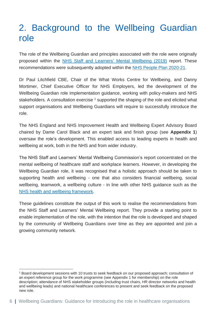### <span id="page-5-0"></span>2. Background to the Wellbeing Guardian role

The role of the Wellbeing Guardian and principles associated with the role were originally proposed within the [NHS Staff and Learners'](https://www.hee.nhs.uk/sites/default/files/documents/NHS%20%28HEE%29%20-%20Mental%20Wellbeing%20Commission%20Report.pdf) Mental Wellbeing (2019) report. These recommendations were subsequently adopted within the [NHS People Plan 2020-21.](https://www.england.nhs.uk/ournhspeople/)

Dr Paul Litchfield CBE, Chair of the What Works Centre for Wellbeing, and Danny Mortimer, Chief Executive Officer for NHS Employers, led the development of the Wellbeing Guardian role implementation guidance, working with policy-makers and NHS stakeholders. A consultation exercise  $<sup>1</sup>$  supported the shaping of the role and elicited what</sup> support organisations and Wellbeing Guardians will require to successfully introduce the role.

The NHS England and NHS Improvement Health and Wellbeing Expert Advisory Board chaired by Dame Carol Black and an expert task and finish group (see **Appendix 1**) oversaw the role's development. This enabled access to leading experts in health and wellbeing at work, both in the NHS and from wider industry.

The NHS Staff and Learners' Mental Wellbeing Commission's report concentrated on the mental wellbeing of healthcare staff and workplace learners. However, in developing the Wellbeing Guardian role, it was recognised that a holistic approach should be taken to supporting health and wellbeing - one that also considers financial wellbeing, social wellbeing, teamwork, a wellbeing culture - in line with other NHS guidance such as the [NHS health and wellbeing framework.](https://www.nhsemployers.org/retention-and-staff-experience/health-and-wellbeing/developing-your-health-and-wellbeing-strategy/health-and-wellbeing-framework)

These guidelines constitute the output of this work to realise the recommendations from the NHS Staff and Learners' Mental Wellbeing report. They provide a starting point to enable implementation of the role, with the intention that the role is developed and shaped by the community of Wellbeing Guardians over time as they are appointed and join a growing community network.

<sup>1</sup> Board development sessions with 10 trusts to seek feedback on our proposed approach; consultation of an expert reference group for the work programme (see Appendix 1 for membership) on the role description; attendance of NHS stakeholder groups (including trust chairs, HR director networks and health and wellbeing leads) and national healthcare conferences to present and seek feedback on the proposed new role.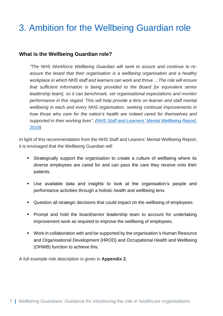# <span id="page-6-0"></span>3. Ambition for the Wellbeing Guardian role

#### <span id="page-6-1"></span>**What is the Wellbeing Guardian role?**

*"The NHS Workforce Wellbeing Guardian will seek to assure and continue to reassure the board that their organisation is a wellbeing organisation and a healthy workplace in which NHS staff and learners can work and thrive …The role will ensure that sufficient information is being provided to the Board [or equivalent senior leadership team], so it can benchmark, set organisational expectations and monitor performance in this regard. This will help provide a lens on learner and staff mental wellbeing in each and every NHS organisation, seeking continual improvements in how those who care for the nation's health are indeed cared for themselves and supported in their working lives". (NHS Staff and Learners' [Mental Wellbeing Report,](https://www.hee.nhs.uk/our-work/mental-wellbeing-report) 2019)*

In light of this recommendation from the NHS Staff and Leaners' Mental Wellbeing Report, it is envisaged that the Wellbeing Guardian will:

- **EXECT** Strategically support the organisation to create a culture of wellbeing where its diverse employees are cared for and can pass the care they receive onto their patients.
- Use available data and insights to look at the organisation's people and performance activities through a holistic health and wellbeing lens.
- Question all strategic decisions that could impact on the wellbeing of employees.
- Prompt and hold the board/senior leadership team to account for undertaking improvement work as required to improve the wellbeing of employees.
- Work in collaboration with and be supported by the organisation's Human Resource and Organisational Development (HROD) and Occupational Health and Wellbeing (OHWB) function to achieve this.

A full example role description is given in **Appendix 2**.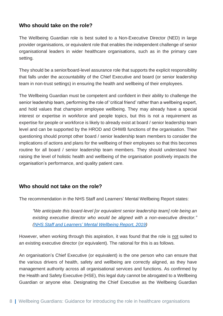#### <span id="page-7-0"></span>**Who should take on the role?**

The Wellbeing Guardian role is best suited to a Non-Executive Director (NED) in large provider organisations, or equivalent role that enables the independent challenge of senior organisational leaders in wider healthcare organisations, such as in the primary care setting.

They should be a senior/board-level assurance role that supports the explicit responsibility that falls under the accountability of the Chief Executive and board (or senior leadership team in non-trust settings) in ensuring the health and wellbeing of their employees.

The Wellbeing Guardian must be competent and confident in their ability to challenge the senior leadership team, performing the role of 'critical friend' rather than a wellbeing expert, and hold values that champion employee wellbeing. They may already have a special interest or expertise in workforce and people topics, but this is not a requirement as expertise for people or workforce is likely to already exist at board / senior leadership team level and can be supported by the HROD and OHWB functions of the organisation. Their questioning should prompt other board / senior leadership team members to consider the implications of actions and plans for the wellbeing of their employees so that this becomes routine for all board / senior leadership team members. They should understand how raising the level of holistic health and wellbeing of the organisation positively impacts the organisation's performance, and quality patient care.

#### <span id="page-7-1"></span>**Who should not take on the role?**

The recommendation in the NHS Staff and Learners' Mental Wellbeing Report states:

*"We anticipate this board-level [or equivalent senior leadership team] role being an existing executive director who would be aligned with a non-executive director." (NHS Staff and Learners' [Mental Wellbeing Report,](https://www.hee.nhs.uk/our-work/mental-wellbeing-report) 2019)*

However, when working through this aspiration, it was found that the role is not suited to an existing executive director (or equivalent). The rational for this is as follows.

An organisation's Chief Executive (or equivalent) is the one person who can ensure that the various drivers of health, safety and wellbeing are correctly aligned, as they have management authority across all organisational services and functions. As confirmed by the Health and Safety Executive (HSE), this legal duty cannot be abrogated to a Wellbeing Guardian or anyone else. Designating the Chief Executive as the Wellbeing Guardian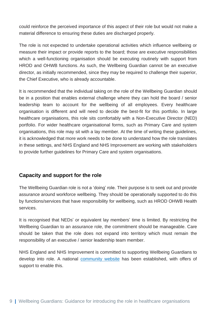could reinforce the perceived importance of this aspect of their role but would not make a material difference to ensuring these duties are discharged properly.

The role is not expected to undertake operational activities which influence wellbeing or measure their impact or provide reports to the board; those are executive responsibilities which a well-functioning organisation should be executing routinely with support from HROD and OHWB functions. As such, the Wellbeing Guardian cannot be an executive director, as initially recommended, since they may be required to challenge their superior, the Chief Executive, who is already accountable.

It is recommended that the individual taking on the role of the Wellbeing Guardian should be in a position that enables external challenge where they can hold the board / senior leadership team to account for the wellbeing of all employees. Every healthcare organisation is different and will need to decide the best-fit for this portfolio. In large healthcare organisations, this role sits comfortably with a Non-Executive Director (NED) portfolio. For wider healthcare organisational forms, such as Primary Care and system organisations, this role may sit with a lay member. At the time of writing these guidelines, it is acknowledged that more work needs to be done to understand how the role translates in these settings, and NHS England and NHS Improvement are working with stakeholders to provide further guidelines for Primary Care and system organisations.

#### <span id="page-8-0"></span>**Capacity and support for the role**

The Wellbeing Guardian role is not a 'doing' role. Their purpose is to seek out and provide assurance around workforce wellbeing. They should be operationally supported to do this by functions/services that have responsibility for wellbeing, such as HROD OHWB Health services.

It is recognised that NEDs' or equivalent lay members' time is limited. By restricting the Wellbeing Guardian to an assurance role, the commitment should be manageable. Care should be taken that the role does not expand into territory which must remain the responsibility of an executive / senior leadership team member.

NHS England and NHS Improvement is committed to supporting Wellbeing Guardians to develop into role. A national [community website](https://people.nhs.uk/executivesuite/support-in-difficult-times/wellbeing-guardians/) has been established, with offers of support to enable this.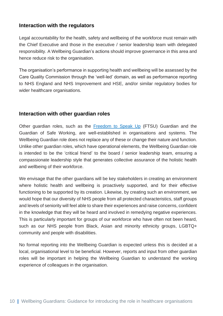#### <span id="page-9-0"></span>**Interaction with the regulators**

Legal accountability for the health, safety and wellbeing of the workforce must remain with the Chief Executive and those in the executive / senior leadership team with delegated responsibility. A Wellbeing Guardian's actions should improve governance in this area and hence reduce risk to the organisation.

The organisation's performance in supporting health and wellbeing will be assessed by the Care Quality Commission through the 'well-led' domain, as well as performance reporting to NHS England and NHS Improvement and HSE, and/or similar regulatory bodies for wider healthcare organisations.

#### <span id="page-9-1"></span>**Interaction with other guardian roles**

Other guardian roles, such as the [Freedom to Speak Up](https://nationalguardian.org.uk/) (FTSU) Guardian and the Guardian of Safe Working, are well-established in organisations and systems. The Wellbeing Guardian role does not replace any of these or change their nature and function. Unlike other guardian roles, which have operational elements, the Wellbeing Guardian role is intended to be the 'critical friend' to the board / senior leadership team, ensuring a compassionate leadership style that generates collective assurance of the holistic health and wellbeing of their workforce.

We envisage that the other guardians will be key stakeholders in creating an environment where holistic health and wellbeing is proactively supported, and for their effective functioning to be supported by its creation. Likewise, by creating such an environment, we would hope that our diversity of NHS people from all protected characteristics, staff groups and levels of seniority will feel able to share their experiences and raise concerns, confident in the knowledge that they will be heard and involved in remedying negative experiences. This is particularly important for groups of our workforce who have often not been heard, such as our NHS people from Black, Asian and minority ethnicity groups, LGBTQ+ community and people with disabilities.

No formal reporting into the Wellbeing Guardian is expected unless this is decided at a local, organisational level to be beneficial. However, reports and input from other guardian roles will be important in helping the Wellbeing Guardian to understand the working experience of colleagues in the organisation.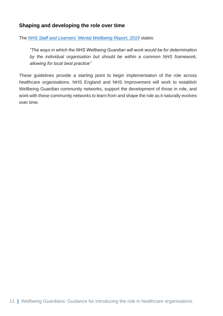#### <span id="page-10-0"></span>**Shaping and developing the role over time**

The *NHS Staff and Learners' [Mental Wellbeing Report,](https://www.hee.nhs.uk/our-work/mental-wellbeing-report) 2019* states:

*"The ways in which the NHS Wellbeing Guardian will work would be for determination by the individual organisation but should be within a common NHS framework, allowing for local best practice"* 

These guidelines provide a starting point to begin implementation of the role across healthcare organisations. NHS England and NHS Improvement will work to establish Wellbeing Guardian community networks, support the development of those in role, and work with these community networks to learn from and shape the role as it naturally evolves over time.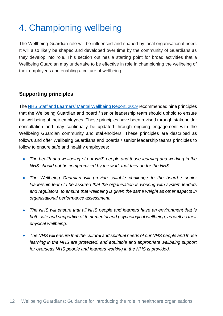# <span id="page-11-0"></span>4. Championing wellbeing

The Wellbeing Guardian role will be influenced and shaped by local organisational need. It will also likely be shaped and developed over time by the community of Guardians as they develop into role. This section outlines a starting point for broad activities that a Wellbeing Guardian may undertake to be effective in role in championing the wellbeing of their employees and enabling a culture of wellbeing.

#### <span id="page-11-1"></span>**Supporting principles**

The NHS Staff and Learners' [Mental Wellbeing Report,](https://www.hee.nhs.uk/our-work/mental-wellbeing-report) 2019 recommended nine principles that the Wellbeing Guardian and board / senior leadership team should uphold to ensure the wellbeing of their employees. These principles have been revised through stakeholder consultation and may continually be updated through ongoing engagement with the Wellbeing Guardian community and stakeholders. These principles are described as follows and offer Wellbeing Guardians and boards / senior leadership teams principles to follow to ensure safe and healthy employees:

- *The health and wellbeing of our NHS people and those learning and working in the NHS should not be compromised by the work that they do for the NHS.*
- *The Wellbeing Guardian will provide suitable challenge to the board / senior leadership team to be assured that the organisation is working with system leaders and regulators, to ensure that wellbeing is given the same weight as other aspects in organisational performance assessment.*
- *The NHS will ensure that all NHS people and learners have an environment that is both safe and supportive of their mental and psychological wellbeing, as well as their physical wellbeing.*
- *The NHS will ensure that the cultural and spiritual needs of our NHS people and those*  learning in the NHS are protected, and equitable and appropriate wellbeing support *for overseas NHS people and learners working in the NHS is provided.*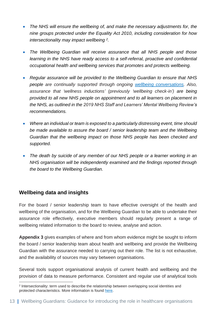- *The NHS will ensure the wellbeing of, and make the necessary adjustments for, the nine groups protected under the Equality Act 2010, including consideration for how intersectionality may impact wellbeing <sup>2</sup> .*
- *The Wellbeing Guardian will receive assurance that all NHS people and those learning in the NHS have ready access to a self-referral, proactive and confidential occupational health and wellbeing services that promotes and protects wellbeing.*
- *Regular assurance will be provided to the Wellbeing Guardian to ensure that NHS people are continually supported through ongoing [wellbeing conversations.](https://people.nhs.uk/projectm_old_v1/wellbeing-conversations/) Also, assurance that 'wellness inductions' (previously 'wellbeing check-in') are being provided to all new NHS people on appointment and to all learners on placement in the NHS, as outlined in the 2019 NHS Staff and Learners' Mental Wellbeing Review's recommendations.*
- *Where an individual or team is exposed to a particularly distressing event, time should be made available to assure the board / senior leadership team and the Wellbeing Guardian that the wellbeing impact on those NHS people has been checked and supported.*
- The death by suicide of any member of our NHS people or a learner working in an *NHS organisation will be independently examined and the findings reported through the board to the Wellbeing Guardian.*

#### <span id="page-12-0"></span>**Wellbeing data and insights**

For the board / senior leadership team to have effective oversight of the health and wellbeing of the organisation, and for the Wellbeing Guardian to be able to undertake their assurance role effectively, executive members should regularly present a range of wellbeing related information to the board to review, analyse and action.

**Appendix 3** gives examples of where and from whom evidence might be sought to inform the board / senior leadership team about health and wellbeing and provide the Wellbeing Guardian with the assurance needed to carrying out their role. The list is not exhaustive, and the availability of sources may vary between organisations.

Several tools support organisational analysis of current health and wellbeing and the provision of data to measure performance. Consistent and regular use of analytical tools

<sup>2</sup> Intersectionality: term used to describe the relationship between overlapping social identities and protected characteristics. More information is found [here.](https://www.equalityhumanrights.com/en/ein-hymchwil/reading-lists/intersectionality-reading-list)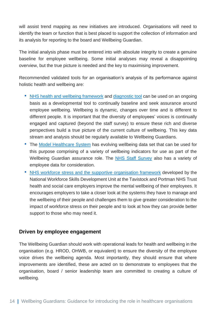will assist trend mapping as new initiatives are introduced. Organisations will need to identify the team or function that is best placed to support the collection of information and its analysis for reporting to the board and Wellbeing Guardian.

The initial analysis phase must be entered into with absolute integrity to create a genuine baseline for employee wellbeing. Some initial analyses may reveal a disappointing overview, but the true picture is needed and the key to maximising improvement.

Recommended validated tools for an organisation's analysis of its performance against holistic health and wellbeing are:

- [NHS health and wellbeing framework](https://www.nhsemployers.org/publications/nhs-health-and-wellbeing-framework) and [diagnostic tool](https://www.nhsemployers.org/publications/nhs-health-and-wellbeing-framework-diagnostic-tool) can be used on an ongoing basis as a developmental tool to continually baseline and seek assurance around employee wellbeing. Wellbeing is dynamic, changes over time and is different to different people. It is important that the diversity of employees' voices is continually engaged and captured (beyond the staff survey) to ensure these rich and diverse perspectives build a true picture of the current culture of wellbeing. This key data stream and analysis should be regularly available to Wellbeing Guardians.
- The [Model Healthcare System](https://www.england.nhs.uk/applications/model-hospital/) has evolving wellbeing data set that can be used for this purpose comprising of a variety of wellbeing indicators for use as part of the Wellbeing Guardian assurance role. The [NHS Staff Survey](https://www.nhsstaffsurveys.com/) also has a variety of employee data for consideration.
- [NHS workforce stress and the supportive organisation framework](https://www.hee.nhs.uk/news-blogs-events/news/meeting-challenge-reducing-stress-building-resilience-nhs-workforce) developed by the National Workforce Skills Development Unit at the Tavistock and Portman NHS Trust health and social care employers improve the mental wellbeing of their employees. It encourages employers to take a closer look at the systems they have to manage and the wellbeing of their people and challenges them to give greater consideration to the impact of workforce stress on their people and to look at how they can provide better support to those who may need it.

#### <span id="page-13-0"></span>**Driven by employee engagement**

The Wellbeing Guardian should work with operational leads for health and wellbeing in the organisation (e.g. HROD, OHWB, or equivalent) to ensure the diversity of the employee voice drives the wellbeing agenda. Most importantly, they should ensure that where improvements are identified, these are acted on to demonstrate to employees that the organisation, board / senior leadership team are committed to creating a culture of wellbeing.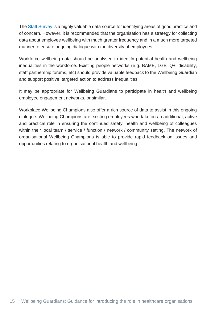The [Staff Survey](https://www.nhsstaffsurveys.com/) is a highly valuable data source for identifying areas of good practice and of concern. However, it is recommended that the organisation has a strategy for collecting data about employee wellbeing with much greater frequency and in a much more targeted manner to ensure ongoing dialogue with the diversity of employees.

Workforce wellbeing data should be analysed to identify potential health and wellbeing inequalities in the workforce. Existing people networks (e.g. BAME, LGBTQ+, disability, staff partnership forums, etc) should provide valuable feedback to the Wellbeing Guardian and support positive, targeted action to address inequalities.

It may be appropriate for Wellbeing Guardians to participate in health and wellbeing employee engagement networks, or similar.

Workplace Wellbeing Champions also offer a rich source of data to assist in this ongoing dialogue. Wellbeing Champions are existing employees who take on an additional, active and practical role in ensuring the continued safety, health and wellbeing of colleagues within their local team / service / function / network / community setting. The network of organisational Wellbeing Champions is able to provide rapid feedback on issues and opportunities relating to organisational health and wellbeing.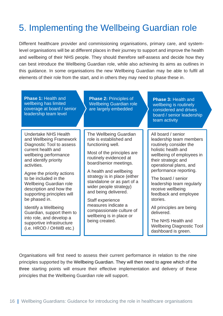# <span id="page-15-0"></span>5. Implementing the Wellbeing Guardian role

Different healthcare provider and commissioning organisations, primary care, and systemlevel organisations will be at different places in their journey to support and improve the health and wellbeing of their NHS people. They should therefore self-assess and decide how they can best introduce the Wellbeing Guardian role, while also achieving its aims as outlines in this guidance. In some organisations the new Wellbeing Guardian may be able to fulfil all elements of their role from the start, and in others they may need to phase these in.

**Phase 3:** Health and wellbeing is routinely considered and drives board / senior leadership team activity **Phase 2: Principles of** Wellbeing Guardian role are largely embedded **Phase 1:** Health and wellbeing has limited coverage at board / senior leadership team level Undertake NHS Health and Wellbeing Framework Diagnostic Tool to assess current health and wellbeing performance and identify priority activities. Agree the priority actions to be included in the Wellbeing Guardian role description and how the supporting principles will be phased in. Identify a Wellbeing Guardian, support them to into role, and develop a supportive infrastructure (i.e. HROD / OHWB etc.) The Wellbeing Guardian role is established and functioning well. Most of the principles are routinely evidenced at board/senior meetings. A health and wellbeing strategy is in place (either standalone or as part of a wider people strategy) and being delivered. Staff experience measures indicate a compassionate culture of wellbeing is in place or being created. All board / senior leadership team members routinely consider the holistic health and wellbeing of employees in their strategic and operational plans, and performance reporting. The board / senior leadership team regularly receive wellbeing feedback and employee stories. All principles are being delivered. The NHS Health and Wellbeing Diagnostic Tool dashboard is green.

Organisations will first need to assess their current performance in relation to the nine principles supported by the Wellbeing Guardian. They will then need to agree which of the three starting points will ensure their effective implementation and delivery of these principles that the Wellbeing Guardian role will support.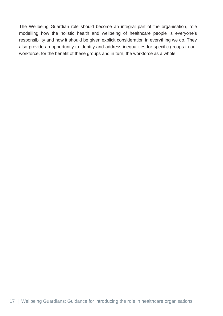The Wellbeing Guardian role should become an integral part of the organisation, role modelling how the holistic health and wellbeing of healthcare people is everyone's responsibility and how it should be given explicit consideration in everything we do. They also provide an opportunity to identify and address inequalities for specific groups in our workforce, for the benefit of these groups and in turn, the workforce as a whole.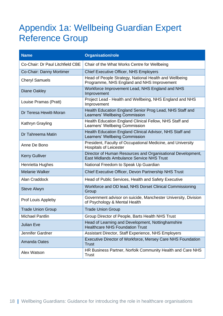### <span id="page-17-0"></span>Appendix 1a: Wellbeing Guardian Expert Reference Group

| <b>Name</b>                      | <b>Organisation/role</b>                                                                                 |
|----------------------------------|----------------------------------------------------------------------------------------------------------|
| Co-Chair: Dr Paul Litchfield CBE | Chair of the What Works Centre for Wellbeing                                                             |
| Co-Chair: Danny Mortimer         | <b>Chief Executive Officer, NHS Employers</b>                                                            |
| <b>Cheryl Samuels</b>            | Head of People Strategy, National Health and Wellbeing<br>Programme, NHS England and NHS Improvement     |
| <b>Diane Oakley</b>              | Workforce Improvement Lead, NHS England and NHS<br>Improvement                                           |
| Louise Pramas (Pratt)            | Project Lead - Health and Wellbeing, NHS England and NHS<br>Improvement                                  |
| Dr Teresa Hewitt-Moran           | Health Education England Senior Prog Lead, NHS Staff and<br>Learners' Wellbeing Commission               |
| Kathryn Grayling                 | Health Education England Clinical Fellow, NHS Staff and<br>Learners' Wellbeing Commission                |
| Dr Tahreema Matin                | Health Education England Clinical Advisor, NHS Staff and<br>Learners' Wellbeing Commission               |
| Anne De Bono                     | President, Faculty of Occupational Medicine, and University<br><b>Hospitals of Leicester</b>             |
| <b>Kerry Gulliver</b>            | Director of Human Resources and Organisational Development,<br>East Midlands Ambulance Service NHS Trust |
| Henrietta Hughes                 | National Freedom to Speak Up Guardian                                                                    |
| <b>Melanie Walker</b>            | Chief Executive Officer, Devon Partnership NHS Trust                                                     |
| Alan Craddock                    | Head of Public Services, Health and Safety Executive                                                     |
| <b>Steve Alwyn</b>               | Workforce and OD lead, NHS Dorset Clinical Commissioning<br>Group                                        |
| Prof Louis Appleby               | Government advisor on suicide, Manchester University, Division<br>of Psychology & Mental Health          |
| <b>Trade Union Group</b>         | <b>Trade Union Group</b>                                                                                 |
| <b>Michael Pantlin</b>           | Group Director of People, Barts Health NHS Trust                                                         |
| <b>Julian Eve</b>                | Head of Learning and Development, Nottinghamshire<br><b>Healthcare NHS Foundation Trust</b>              |
| Jennifer Gardner                 | Assistant Director, Staff Experience, NHS Employers                                                      |
| <b>Amanda Oates</b>              | Executive Director of Workforce, Mersey Care NHS Foundation<br><b>Trust</b>                              |
| Alex Watson                      | HR Business Partner, Norfolk Community Health and Care NHS<br><b>Trust</b>                               |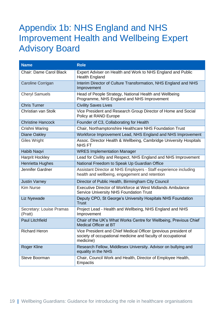### <span id="page-18-0"></span>Appendix 1b: NHS England and NHS Improvement Health and Wellbeing Expert Advisory Board

| <b>Name</b>                         | <b>Role</b>                                                                                                                                  |
|-------------------------------------|----------------------------------------------------------------------------------------------------------------------------------------------|
| <b>Chair: Dame Carol Black</b>      | Expert Adviser on Health and Work to NHS England and Public<br><b>Health England</b>                                                         |
| Caroline Corrigan                   | Interim Director of Culture Transformation, NHS England and NHS<br>Improvement                                                               |
| <b>Cheryl Samuels</b>               | Head of People Strategy, National Health and Wellbeing<br>Programme, NHS England and NHS Improvement                                         |
| <b>Chris Turner</b>                 | <b>Civility Saves Lives</b>                                                                                                                  |
| Christian van Stolk                 | Vice President and Research Group Director of Home and Social<br>Policy at RAND Europe                                                       |
| <b>Christine Hancock</b>            | Founder of C3, Collaborating for Health                                                                                                      |
| Crishni Waring                      | Chair, Northamptonshire Healthcare NHS Foundation Trust                                                                                      |
| <b>Diane Oakley</b>                 | Workforce Improvement Lead, NHS England and NHS Improvement                                                                                  |
| Giles Wright                        | Assoc. Director Health & Wellbeing, Cambridge University Hospitals<br><b>NHSFT</b>                                                           |
| Habib Naqvi                         | <b>WRES Implementation Manager</b>                                                                                                           |
| <b>Harprit Hockley</b>              | Lead for Civility and Respect, NHS England and NHS Improvement                                                                               |
| <b>Henrietta Hughes</b>             | National Freedom to Speak Up Guardian Office                                                                                                 |
| Jennifer Gardner                    | Assistant Director at NHS Employers - Staff experience including<br>health and wellbeing, engagement and retention                           |
| <b>Justin Varney</b>                | Director of Public Health, Birmingham City Council                                                                                           |
| <b>Kim Nurse</b>                    | Executive Director of Workforce at West Midlands Ambulance<br><b>Service University NHS Foundation Trust</b>                                 |
| Liz Nyewade                         | Deputy CPO, St George's University Hospitals NHS Foundation<br><b>Trust</b>                                                                  |
| Secretary: Louise Pramas<br>(Pratt) | Project Lead - Health and Wellbeing, NHS England and NHS<br>Improvement                                                                      |
| <b>Paul Litchfield</b>              | Chair of the UK's What Works Centre for Wellbeing, Previous Chief<br><b>Medical Officer at BT</b>                                            |
| <b>Richard Heron</b>                | Vice President and Chief Medical Officer (previous president of<br>society of occupational medicine and faculty of occupational<br>medicine) |
| <b>Roger Kline</b>                  | Research Fellow, Middlesex University. Advisor on bullying and<br>equality in the NHS                                                        |
| <b>Steve Boorman</b>                | Chair, Council Work and Health, Director of Employee Health,<br>Empactis                                                                     |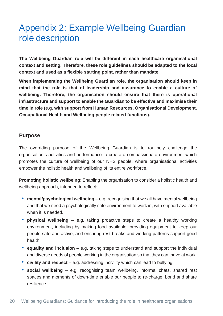### <span id="page-19-0"></span>Appendix 2: Example Wellbeing Guardian role description

**The Wellbeing Guardian role will be different in each healthcare organisational context and setting. Therefore, these role guidelines should be adapted to the local context and used as a flexible starting point, rather than mandate.**

**When implementing the Wellbeing Guardian role, the organisation should keep in mind that the role is that of leadership and assurance to enable a culture of wellbeing. Therefore, the organisation should ensure that there is operational infrastructure and support to enable the Guardian to be effective and maximise their time in role (e.g. with support from Human Resources, Organisational Development, Occupational Health and Wellbeing people related functions).**

#### **Purpose**

The overriding purpose of the Wellbeing Guardian is to routinely challenge the organisation's activities and performance to create a compassionate environment which promotes the culture of wellbeing of our NHS people, where organisational activities empower the holistic health and wellbeing of its entire workforce.

**Promoting holistic wellbeing**: Enabling the organisation to consider a holistic health and wellbeing approach, intended to reflect:

- **mental/psychological wellbeing** e.g. recognising that we all have mental wellbeing and that we need a psychologically safe environment to work in, with support available when it is needed.
- **physical wellbeing** e.g. taking proactive steps to create a healthy working environment, including by making food available, providing equipment to keep our people safe and active, and ensuring rest breaks and working patterns support good health.
- **equality and inclusion** e.g. taking steps to understand and support the individual and diverse needs of people working in the organisation so that they can thrive at work.
- **civility and respect** e.g. addressing incivility which can lead to bullying
- **social wellbeing** e.g. recognising team wellbeing, informal chats, shared rest spaces and moments of down-time enable our people to re-charge, bond and share resilience.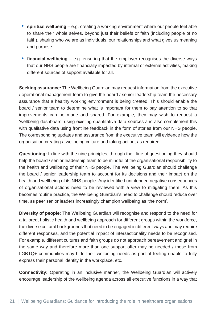- **spiritual wellbeing** e.g. creating a working environment where our people feel able to share their whole selves, beyond just their beliefs or faith (including people of no faith), sharing who we are as individuals, our relationships and what gives us meaning and purpose.
- **financial wellbeing** e.g. ensuring that the employer recognises the diverse ways that our NHS people are financially impacted by internal or external activities, making different sources of support available for all.

**Seeking assurance:** The Wellbeing Guardian may request information from the executive / operational management team to give the board / senior leadership team the necessary assurance that a healthy working environment is being created. This should enable the board / senior team to determine what is important for them to pay attention to so that improvements can be made and shared. For example, they may wish to request a 'wellbeing dashboard' using existing quantitative data sources and also complement this with qualitative data using frontline feedback in the form of stories from our NHS people. The corresponding updates and assurance from the executive team will evidence how the organisation creating a wellbeing culture and taking action, as required.

**Questioning:** In line with the nine principles, through their line of questioning they should help the board / senior leadership team to be mindful of the organisational responsibility to the health and wellbeing of their NHS people. The Wellbeing Guardian should challenge the board / senior leadership team to account for its decisions and their impact on the health and wellbeing of its NHS people. Any identified unintended negative consequences of organisational actions need to be reviewed with a view to mitigating them. As this becomes routine practice, the Wellbeing Guardian's need to challenge should reduce over time, as peer senior leaders increasingly champion wellbeing as 'the norm'.

**Diversity of people:** The Wellbeing Guardian will recognise and respond to the need for a tailored, holistic health and wellbeing approach for different groups within the workforce, the diverse cultural backgrounds that need to be engaged in different ways and may require different responses, and the potential impact of intersectionality needs to be recognised. For example, different cultures and faith groups do not approach bereavement and grief in the same way and therefore more than one support offer may be needed / those from LGBTQ+ communities may hide their wellbeing needs as part of feeling unable to fully express their personal identity in the workplace, etc.

**Connectivity:** Operating in an inclusive manner, the Wellbeing Guardian will actively encourage leadership of the wellbeing agenda across all executive functions in a way that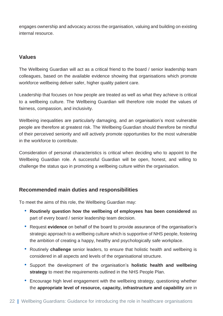engages ownership and advocacy across the organisation, valuing and building on existing internal resource.

#### **Values**

The Wellbeing Guardian will act as a critical friend to the board / senior leadership team colleagues, based on the available evidence showing that organisations which promote workforce wellbeing deliver safer, higher quality patient care.

Leadership that focuses on how people are treated as well as what they achieve is critical to a wellbeing culture. The Wellbeing Guardian will therefore role model the values of fairness, compassion, and inclusivity.

Wellbeing inequalities are particularly damaging, and an organisation's most vulnerable people are therefore at greatest risk. The Wellbeing Guardian should therefore be mindful of their perceived seniority and will actively promote opportunities for the most vulnerable in the workforce to contribute.

Consideration of personal characteristics is critical when deciding who to appoint to the Wellbeing Guardian role. A successful Guardian will be open, honest, and willing to challenge the status quo in promoting a wellbeing culture within the organisation.

#### **Recommended main duties and responsibilities**

To meet the aims of this role, the Wellbeing Guardian may:

- **Routinely question how the wellbeing of employees has been considered** as part of every board / senior leadership team decision.
- Request **evidence** on behalf of the board to provide assurance of the organisation's strategic approach to a wellbeing culture which is supportive of NHS people, fostering the ambition of creating a happy, healthy and psychologically safe workplace.
- Routinely **challenge** senior leaders, to ensure that holistic health and wellbeing is considered in all aspects and levels of the organisational structure.
- Support the development of the organisation's **holistic health and wellbeing strategy** to meet the requirements outlined in the NHS People Plan.
- Encourage high level engagement with the wellbeing strategy, questioning whether the **appropriate level of resource, capacity, infrastructure and capability** are in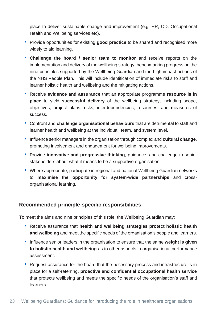place to deliver sustainable change and improvement (e.g. HR, OD, Occupational Health and Wellbeing services etc).

- Provide opportunities for existing **good practice** to be shared and recognised more widely to aid learning.
- **Challenge the board / senior team to monitor** and receive reports on the implementation and delivery of the wellbeing strategy, benchmarking progress on the nine principles supported by the Wellbeing Guardian and the high impact actions of the NHS People Plan. This will include identification of immediate risks to staff and learner holistic health and wellbeing and the mitigating actions.
- Receive **evidence and assurance** that an appropriate programme **resource is in place** to yield **successful delivery** of the wellbeing strategy, including scope, objectives, project plans, risks, interdependencies, resources, and measures of success.
- Confront and **challenge organisational behaviours** that are detrimental to staff and learner health and wellbeing at the individual, team, and system level.
- Influence senior managers in the organisation through complex and **cultural change**, promoting involvement and engagement for wellbeing improvements.
- Provide **innovative and progressive thinking**, guidance, and challenge to senior stakeholders about what it means to be a supportive organisation.
- Where appropriate, participate in regional and national Wellbeing Guardian networks to **maximise the opportunity for system-wide partnerships** and crossorganisational learning.

#### **Recommended principle-specific responsibilities**

To meet the aims and nine principles of this role, the Wellbeing Guardian may:

- Receive assurance that **health and wellbeing strategies protect holistic health and wellbeing** and meet the specific needs of the organisation's people and learners.
- Influence senior leaders in the organisation to ensure that the same **weight is given to holistic health and wellbeing** as to other aspects in organisational performance assessment.
- Request assurance for the board that the necessary process and infrastructure is in place for a self-referring, **proactive and confidential occupational health service** that protects wellbeing and meets the specific needs of the organisation's staff and learners.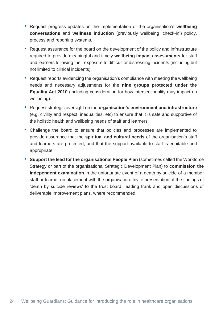- Request progress updates on the implementation of the organisation's **wellbeing conversations** and **wellness induction** (previously wellbeing 'check-in') policy, process and reporting systems.
- Request assurance for the board on the development of the policy and infrastructure required to provide meaningful and timely **wellbeing impact assessments** for staff and learners following their exposure to difficult or distressing incidents (including but not limited to clinical incidents).
- Request reports evidencing the organisation's compliance with meeting the wellbeing needs and necessary adjustments for the **nine groups protected under the Equality Act 2010** (including consideration for how intersectionality may impact on wellbeing).
- Request strategic oversight on the **organisation's environment and infrastructure** (e.g. civility and respect, inequalities, etc) to ensure that it is safe and supportive of the holistic health and wellbeing needs of staff and learners.
- Challenge the board to ensure that policies and processes are implemented to provide assurance that the **spiritual and cultural needs** of the organisation's staff and learners are protected, and that the support available to staff is equitable and appropriate.
- **Support the lead for the organisational People Plan** (sometimes called the Workforce Strategy or part of the organisational Strategic Development Plan) to **commission the independent examination** in the unfortunate event of a death by suicide of a member staff or learner on placement with the organisation. Invite presentation of the findings of 'death by suicide reviews' to the trust board, leading frank and open discussions of deliverable improvement plans, where recommended.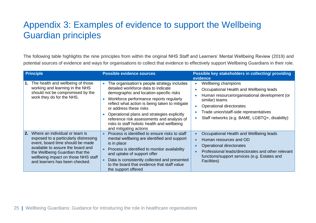# Appendix 3: Examples of evidence to support the Wellbeing Guardian principles

The following table highlights the nine principles from within the original NHS Staff and Learners' Mental Wellbeing Review (2019) and potential sources of evidence and ways for organisations to collect that evidence to effectively support Wellbeing Guardians in their role.

<span id="page-24-0"></span>

|                | <b>Principle</b>                                                                                                                                                                                                                                             | <b>Possible evidence sources</b>                                                                                                                                                                                                                                                                                                                                                                                            | Possible key stakeholders in collecting/ providing<br>evidence                                                                                                                                                                                            |
|----------------|--------------------------------------------------------------------------------------------------------------------------------------------------------------------------------------------------------------------------------------------------------------|-----------------------------------------------------------------------------------------------------------------------------------------------------------------------------------------------------------------------------------------------------------------------------------------------------------------------------------------------------------------------------------------------------------------------------|-----------------------------------------------------------------------------------------------------------------------------------------------------------------------------------------------------------------------------------------------------------|
|                | 1. The health and wellbeing of those<br>working and learning in the NHS<br>should not be compromised by the<br>work they do for the NHS.                                                                                                                     | The organisation's people strategy includes<br>detailed workforce data to indicate<br>demographic and location-specific risks<br>Workforce performance reports regularly<br>reflect what action is being taken to mitigate<br>or address these risks<br>Operational plans and strategies explicitly<br>reference risk assessments and analysis of<br>risks to staff holistic health and wellbeing<br>and mitigating actions | Wellbeing champions<br>Occupational Health and Wellbeing leads<br>Human resource/organisational development (or<br>similar) teams<br>Operational directorates<br>Trade union/staff-side representatives<br>Staff networks (e.g. BAME, LGBTQ+, disability) |
| 2 <sub>1</sub> | Where an individual or team is<br>exposed to a particularly distressing<br>event, board time should be made<br>available to assure the board and<br>the Wellbeing Guardian that the<br>wellbeing impact on those NHS staff<br>and learners has been checked. | Process is identified to ensure risks to staff<br>mental wellbeing are identified and support<br>is in place<br>Process is identified to monitor availability<br>and uptake of support offer<br>Data is consistently collected and presented<br>to the board that evidence that staff value<br>the support offered                                                                                                          | Occupational Health and Wellbeing leads<br>Human resources and OD<br>Operational directorates<br>Professional leads/directorates and other relevant<br>functions/support services (e.g. Estates and<br>Facilities)                                        |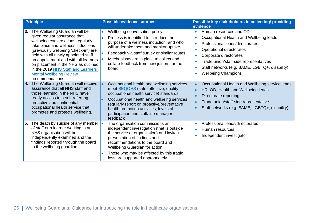|    | <b>Principle</b>                                                                                                                                                                                                                                                                                                                                                                                      | <b>Possible evidence sources</b>                                                                                                                                                                                                                                                                                               | Possible key stakeholders in collecting/ providing<br>evidence                                                                                                                                                                                                                                                 |
|----|-------------------------------------------------------------------------------------------------------------------------------------------------------------------------------------------------------------------------------------------------------------------------------------------------------------------------------------------------------------------------------------------------------|--------------------------------------------------------------------------------------------------------------------------------------------------------------------------------------------------------------------------------------------------------------------------------------------------------------------------------|----------------------------------------------------------------------------------------------------------------------------------------------------------------------------------------------------------------------------------------------------------------------------------------------------------------|
| 3. | The Wellbeing Guardian will be<br>given regular assurance that<br>wellbeing conversations regularly<br>take place and wellness inductions<br>(previously wellbeing 'check-in') are<br>held with all newly appointed staff<br>on appointment and with all learners<br>on placement in the NHS as outlined<br>in the 2019 NHS Staff and Learners'<br><b>Mental Wellbeing Review</b><br>recommendations. | Wellbeing conversation policy<br>Process is identified to introduce the<br>purpose of a wellness induction, and who<br>will undertake them and monitor uptake<br>Feedback via staff survey or similar routes<br>Mechanisms are in place to collect and<br>collate feedback from new joiners for the<br>board                   | Human resources and OD<br>Occupational Health and Wellbeing leads<br>Professional leads/directorates<br>Operational directorates<br>$\bullet$<br>Corporate directorates<br>Trade union/staff-side representatives<br>$\bullet$<br>Staff networks (e.g. BAME, LGBTQ+, disability)<br><b>Wellbeing Champions</b> |
| 4. | The Wellbeing Guardian will receive<br>assurance that all NHS staff and<br>those learning in the NHS have<br>ready access to a self-referring,<br>proactive and confidential<br>occupational health service that<br>promotes and protects wellbeing.                                                                                                                                                  | Occupational health and wellbeing services<br>meet <b>SEQOHS</b> (safe, effective, quality<br>occupational health service) standards<br>Occupational health and wellbeing services<br>regularly report on proactive/preventative<br>health promotion activities, levels of<br>participation and staff/line manager<br>feedback | Occupational Health and Wellbeing service leads<br>$\bullet$<br>HR, OD, Health and Wellbeing leads<br>Directorate reporting<br>$\bullet$<br>Trade union/staff-side representative<br>Staff networks (e.g. BAME, LGBTQ+, disability)                                                                            |
|    | 5. The death by suicide of any member<br>of staff or a learner working in an<br>NHS organisation will be<br>independently examined and the<br>findings reported through the board<br>to the wellbeing guardian.                                                                                                                                                                                       | The organisation commissions an<br>independent investigation (that is outside<br>the service or organisation) and invites<br>presentation of findings and<br>recommendations to the board and<br><b>Wellbeing Guardian for action</b><br>Those who may be affected by this tragic<br>loss are supported appropriately          | Professional leads/directorates<br>Human resources<br>Independent investigator                                                                                                                                                                                                                                 |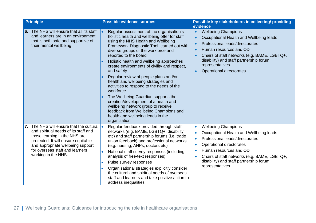| <b>Principle</b>                                                                                                                                                                                                                                           | <b>Possible evidence sources</b>                                                                                                                                                                                                                                                                                                                                                                                                                                                                                                                                                                                                                                                                                      | Possible key stakeholders in collecting/ providing                                                                                                                                                                                                                                                                 |
|------------------------------------------------------------------------------------------------------------------------------------------------------------------------------------------------------------------------------------------------------------|-----------------------------------------------------------------------------------------------------------------------------------------------------------------------------------------------------------------------------------------------------------------------------------------------------------------------------------------------------------------------------------------------------------------------------------------------------------------------------------------------------------------------------------------------------------------------------------------------------------------------------------------------------------------------------------------------------------------------|--------------------------------------------------------------------------------------------------------------------------------------------------------------------------------------------------------------------------------------------------------------------------------------------------------------------|
| 6. The NHS will ensure that all its staff<br>and learners are in an environment<br>that is both safe and supportive of<br>their mental wellbeing.                                                                                                          | Regular assessment of the organisation's<br>holistic health and wellbeing offer for staff<br>using the NHS Health and Wellbeing<br>Framework Diagnostic Tool, carried out with<br>diverse groups of the workforce and<br>reported to the board<br>Holistic health and wellbeing approaches<br>create environments of civility and respect,<br>and safety<br>Regular review of people plans and/or<br>health and wellbeing strategies and<br>activities to respond to the needs of the<br>workforce<br>The Wellbeing Guardian supports the<br>creation/development of a health and<br>wellbeing network group to receive<br>feedback from Wellbeing Champions and<br>health and wellbeing leads in the<br>organisation | evidence<br><b>Wellbeing Champions</b><br>$\bullet$<br>Occupational Health and Wellbeing leads<br>$\bullet$<br>Professional leads/directorates<br>Human resources and OD<br>Chairs of staff networks (e.g. BAME, LGBTQ+,<br>disability) and staff partnership forum<br>representatives<br>Operational directorates |
| The NHS will ensure that the cultural<br>7.<br>and spiritual needs of its staff and<br>those learning in the NHS are<br>protected. It will ensure equitable<br>and appropriate wellbeing support<br>for overseas staff and learners<br>working in the NHS. | Regular feedback provided through staff<br>$\bullet$<br>networks (e.g. BAME, LGBTQ+, disability<br>etc) and staff partnership forums (i.e. trade<br>union feedback) and professional networks<br>(e.g. nursing, AHPs, doctors etc)<br>National staff survey responses (including<br>analysis of free-text responses)<br>Pulse survey responses<br>Organisational strategies explicitly consider<br>the cultural and spiritual needs of overseas<br>staff and learners and take positive action to<br>address inequalities                                                                                                                                                                                             | <b>Wellbeing Champions</b><br>$\bullet$<br>Occupational Health and Wellbeing leads<br>Professional leads/directorates<br>$\bullet$<br>Operational directorates<br>Human resources and OD<br>Chairs of staff networks (e.g. BAME, LGBTQ+,<br>disability) and staff partnership forum<br>representatives             |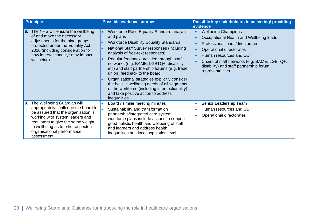|    | <b>Principle</b>                                                                                                                                                                                                                                                        | <b>Possible evidence sources</b>                                                                                                                                                                                                                                                                                                                                                                                                                                                                                                                                                          | Possible key stakeholders in collecting/ providing<br>evidence                                                                                                                                                                                                                                                      |
|----|-------------------------------------------------------------------------------------------------------------------------------------------------------------------------------------------------------------------------------------------------------------------------|-------------------------------------------------------------------------------------------------------------------------------------------------------------------------------------------------------------------------------------------------------------------------------------------------------------------------------------------------------------------------------------------------------------------------------------------------------------------------------------------------------------------------------------------------------------------------------------------|---------------------------------------------------------------------------------------------------------------------------------------------------------------------------------------------------------------------------------------------------------------------------------------------------------------------|
|    | 8. The NHS will ensure the wellbeing<br>of and make the necessary<br>adjustments for the nine groups<br>protected under the Equality Act<br>2010 (including consideration for<br>how intersectionality <sup>1</sup> may impact<br>wellbeing).                           | <b>Workforce Race Equality Standard analysis</b><br>and plans<br><b>Workforce Disability Equality Standards</b><br>National Staff Survey responses (including<br>analysis of free-text responses)<br>Regular feedback provided through staff<br>networks (e.g. BAME, LGBTQ+, disability<br>etc) and staff partnership forums (e.g. trade<br>union) feedback to the board<br>Organisational strategies explicitly consider<br>the holistic wellbeing needs of all segments<br>of the workforce (including intersectionality)<br>and take positive action to address<br><i>inequalities</i> | <b>Wellbeing Champions</b><br>$\bullet$<br>Occupational Health and Wellbeing leads<br>Professional leads/directorates<br>Operational directorates<br>$\bullet$<br>Human resources and OD<br>Chairs of staff networks (e.g. BAME, LGBTQ+,<br>$\bullet$<br>disability) and staff partnership forum<br>representatives |
| 9. | The Wellbeing Guardian will<br>appropriately challenge the board to<br>be assured that the organisation is<br>working with system leaders and<br>regulators to give the same weight<br>to wellbeing as to other aspects in<br>organisational performance<br>assessment. | Board / similar meeting minutes<br>Sustainability and transformation<br>partnership/integrated care system<br>workforce plans include actions to support<br>good holistic health and wellbeing of staff<br>and learners and address health<br>inequalities at a local population level                                                                                                                                                                                                                                                                                                    | Senior Leadership Team<br>Human resources and OD<br>Operational directorates<br>$\bullet$                                                                                                                                                                                                                           |